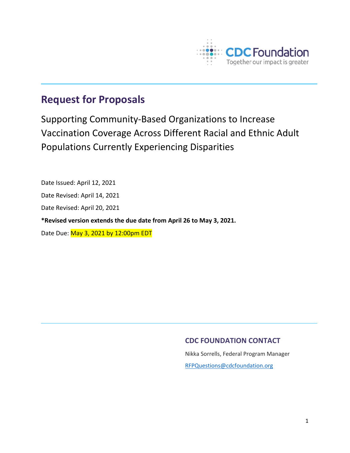

# **Request for Proposals**

Supporting Community-Based Organizations to Increase Vaccination Coverage Across Different Racial and Ethnic Adult Populations Currently Experiencing Disparities

Date Issued: April 12, 2021 Date Revised: April 14, 2021 Date Revised: April 20, 2021 **\*Revised version extends the due date from April 26 to May 3, 2021.** Date Due: May 3, 2021 by 12:00pm EDT

# **CDC FOUNDATION CONTACT**

Nikka Sorrells, Federal Program Manager

[RFPQuestions@cdcfoundation.org](mailto:RFPQuestions@cdcfoundation.org)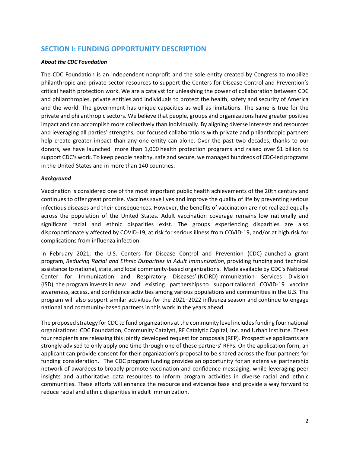# **SECTION I: FUNDING OPPORTUNITY DESCRIPTION**

#### *About the CDC Foundation*

The CDC Foundation is an independent nonprofit and the sole entity created by Congress to mobilize philanthropic and private-sector resources to support the Centers for Disease Control and Prevention's critical health protection work. We are a catalyst for unleashing the power of collaboration between CDC and philanthropies, private entities and individuals to protect the health, safety and security of America and the world. The government has unique capacities as well as limitations. The same is true for the private and philanthropic sectors. We believe that people, groups and organizations have greater positive impact and can accomplish more collectively than individually. By aligning diverse interests and resources and leveraging all parties' strengths, our focused collaborations with private and philanthropic partners help create greater impact than any one entity can alone. Over the past two decades, thanks to our donors, we have launched more than 1,000 health protection programs and raised over \$1 billion to support CDC's work. To keep people healthy, safe and secure, we managed hundreds of CDC-led programs in the United States and in more than 140 countries.

#### *Background*

Vaccination is considered one of the most important public health achievements of the 20th century and continues to offer great promise. Vaccines save lives and improve the quality of life by preventing serious infectious diseases and their consequences. However, the benefits of vaccination are not realized equally across the population of the United States. Adult vaccination coverage remains low nationally and significant racial and ethnic disparities exist. The groups experiencing disparities are also disproportionately affected by COVID-19, at risk for serious illness from COVID-19, and/or at high risk for complications from influenza infection.

In February 2021, the U.S. Centers for Disease Control and Prevention (CDC) launched a grant program, *Reducing Racial and Ethnic Disparities in Adult Immunization*, providing funding and technical assistance to national, state, and local community-based organizations. Made available by CDC's National Center for Immunization and Respiratory Diseases' (NCIRD) Immunization Services Division (ISD), the program invests in new and existing partnerships to support tailored COVID-19 vaccine awareness, access, and confidence activities among various populations and communities in the U.S. The program will also support similar activities for the 2021–2022 influenza season and continue to engage national and community-based partners in this work in the years ahead.

The proposed strategy for CDC to fund organizations at the community level includes funding four national organizations: CDC Foundation, Community Catalyst, RF Catalytic Capital, Inc. and Urban Institute. These four recipients are releasing this jointly developed request for proposals (RFP). Prospective applicants are strongly advised to only apply one time through one of these partners' RFPs. On the application form, an applicant can provide consent for their organization's proposal to be shared across the four partners for funding consideration. The CDC program funding provides an opportunity for an extensive partnership network of awardees to broadly promote vaccination and confidence messaging, while leveraging peer insights and authoritative data resources to inform program activities in diverse racial and ethnic communities. These efforts will enhance the resource and evidence base and provide a way forward to reduce racial and ethnic disparities in adult immunization.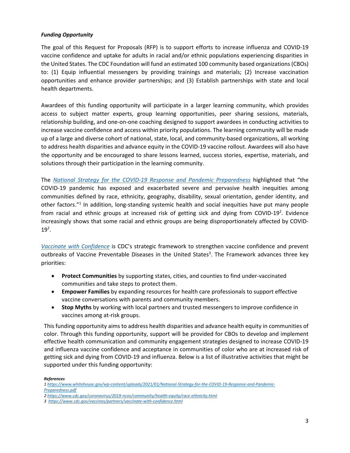#### *Funding Opportunity*

The goal of this Request for Proposals (RFP) is to support efforts to increase influenza and COVID-19 vaccine confidence and uptake for adults in racial and/or ethnic populations experiencing disparities in the United States. The CDC Foundation will fund an estimated 100 community based organizations(CBOs) to: (1) Equip influential messengers by providing trainings and materials; (2) Increase vaccination opportunities and enhance provider partnerships; and (3) Establish partnerships with state and local health departments.

Awardees of this funding opportunity will participate in a larger learning community, which provides access to subject matter experts, group learning opportunities, peer sharing sessions, materials, relationship building, and one-on-one coaching designed to support awardees in conducting activities to increase vaccine confidence and access within priority populations. The learning community will be made up of a large and diverse cohort of national, state, local, and community-based organizations, all working to address health disparities and advance equity in the COVID-19 vaccine rollout. Awardees will also have the opportunity and be encouraged to share lessons learned, success stories, expertise, materials, and solutions through their participation in the learning community.

The *[National Strategy for the COVID-19 Response and Pandemic Preparedness](https://www.whitehouse.gov/wp-content/uploads/2021/01/National-Strategy-for-the-COVID-19-Response-and-Pandemic-Preparedness.pdf)* highlighted that "the COVID-19 pandemic has exposed and exacerbated severe and pervasive health inequities among communities defined by race, ethnicity, geography, disability, sexual orientation, gender identity, and other factors."1 In addition, long-standing systemic health and social inequities have put many people from racial and ethnic groups at increased risk of getting sick and dying from COVID-19<sup>2</sup>. Evidence increasingly shows that some racial and ethnic groups are being disproportionately affected by COVID- $19^2$ .

*[Vaccinate with Confidence](https://www.cdc.gov/vaccines/partners/vaccinate-with-confidence.html)* is CDC's strategic framework to strengthen vaccine confidence and prevent outbreaks of Vaccine Preventable Diseases in the United States<sup>3</sup>. The Framework advances three key priorities:

- **Protect Communities** by supporting states, cities, and counties to find under-vaccinated communities and take steps to protect them.
- **Empower Families** by expanding resources for health care professionals to support effective vaccine conversations with parents and community members.
- **Stop Myths** by working with local partners and trusted messengers to improve confidence in vaccines among at-risk groups.

This funding opportunity aims to address health disparities and advance health equity in communities of color. Through this funding opportunity, support will be provided for CBOs to develop and implement effective health communication and community engagement strategies designed to increase COVID-19 and influenza vaccine confidence and acceptance in communities of color who are at increased risk of getting sick and dying from COVID-19 and influenza. Below is a list of illustrative activities that might be supported under this funding opportunity:

#### *References*

*[<sup>1</sup> https://www.whitehouse.gov/wp-content/uploads/2021/01/National-Strategy-for-the-COVID-19-Response-and-Pandemic-](https://www.whitehouse.gov/wp-content/uploads/2021/01/National-Strategy-for-the-COVID-19-Response-and-Pandemic-Preparedness.pdf)[Preparedness.pdf](https://www.whitehouse.gov/wp-content/uploads/2021/01/National-Strategy-for-the-COVID-19-Response-and-Pandemic-Preparedness.pdf)*

*[<sup>2</sup> https://www.cdc.gov/coronavirus/2019-ncov/community/health-equity/race-ethnicity.html](https://www.cdc.gov/coronavirus/2019-ncov/community/health-equity/race-ethnicity.html)*

*<sup>3</sup><https://www.cdc.gov/vaccines/partners/vaccinate-with-confidence.html>*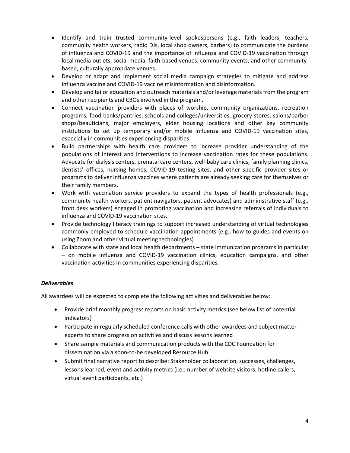- Identify and train trusted community-level spokespersons (e.g., faith leaders, teachers, community health workers, radio DJs, local shop owners, barbers) to communicate the burdens of influenza and COVID-19 and the importance of influenza and COVID-19 vaccination through local media outlets, social media, faith-based venues, community events, and other communitybased, culturally appropriate venues.
- Develop or adapt and implement social media campaign strategies to mitigate and address influenza vaccine and COVID-19 vaccine misinformation and disinformation.
- Develop and tailor education and outreach materials and/or leverage materials from the program and other recipients and CBOs involved in the program.
- Connect vaccination providers with places of worship, community organizations, recreation programs, food banks/pantries, schools and colleges/universities, grocery stores, salons/barber shops/beauticians, major employers, elder housing locations and other key community institutions to set up temporary and/or mobile influenza and COVID-19 vaccination sites, especially in communities experiencing disparities.
- Build partnerships with health care providers to increase provider understanding of the populations of interest and interventions to increase vaccination rates for these populations. Advocate for dialysis centers, prenatal care centers, well-baby care clinics, family planning clinics, dentists' offices, nursing homes, COVID-19 testing sites, and other specific provider sites or programs to deliver influenza vaccines where patients are already seeking care for themselves or their family members.
- Work with vaccination service providers to expand the types of health professionals (e.g., community health workers, patient navigators, patient advocates) and administrative staff (e.g., front desk workers) engaged in promoting vaccination and increasing referrals of individuals to influenza and COVID-19 vaccination sites.
- Provide technology literacy trainings to support increased understanding of virtual technologies commonly employed to schedule vaccination appointments (e.g., how-to guides and events on using Zoom and other virtual meeting technologies)
- Collaborate with state and local health departments state immunization programs in particular – on mobile influenza and COVID-19 vaccination clinics, education campaigns, and other vaccination activities in communities experiencing disparities.

### *Deliverables*

All awardees will be expected to complete the following activities and deliverables below:

- Provide brief monthly progress reports on basic activity metrics (see below list of potential indicators)
- Participate in regularly scheduled conference calls with other awardees and subject matter experts to share progress on activities and discuss lessons learned
- Share sample materials and communication products with the CDC Foundation for dissemination via a soon-to-be developed Resource Hub
- Submit final narrative report to describe: Stakeholder collaboration, successes, challenges, lessons learned, event and activity metrics (i.e.: number of website visitors, hotline callers, virtual event participants, etc.)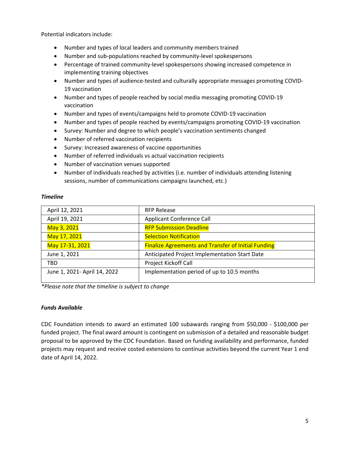Potential indicators include:

- Number and types of local leaders and community members trained
- Number and sub-populations reached by community-level spokespersons
- Percentage of trained community-level spokespersons showing increased competence in implementing training objectives
- Number and types of audience-tested and culturally appropriate messages promoting COVID-19 vaccination
- Number and types of people reached by social media messaging promoting COVID-19 vaccination
- Number and types of events/campaigns held to promote COVID-19 vaccination
- Number and types of people reached by events/campaigns promoting COVID-19 vaccination
- Survey: Number and degree to which people's vaccination sentiments changed
- Number of referred vaccination recipients
- Survey: Increased awareness of vaccine opportunities
- Number of referred individuals vs actual vaccination recipients
- Number of vaccination venues supported
- Number of individuals reached by activities (i.e. number of individuals attending listening sessions, number of communications campaigns launched, etc.)

#### *Timeline*

| April 12, 2021               | <b>RFP Release</b>                                         |
|------------------------------|------------------------------------------------------------|
| April 19, 2021               | <b>Applicant Conference Call</b>                           |
| May 3, 2021                  | <b>RFP Submission Deadline</b>                             |
| May 17, 2021                 | <b>Selection Notification</b>                              |
| May 17-31, 2021              | <b>Finalize Agreements and Transfer of Initial Funding</b> |
| June 1, 2021                 | Anticipated Project Implementation Start Date              |
| TBD                          | <b>Project Kickoff Call</b>                                |
| June 1, 2021- April 14, 2022 | Implementation period of up to 10.5 months                 |

*\*Please note that the timeline is subject to change* 

#### *Funds Available*

CDC Foundation intends to award an estimated 100 subawards ranging from \$50,000 - \$100,000 per funded project. The final award amount is contingent on submission of a detailed and reasonable budget proposal to be approved by the CDC Foundation. Based on funding availability and performance, funded projects may request and receive costed extensions to continue activities beyond the current Year 1 end date of April 14, 2022.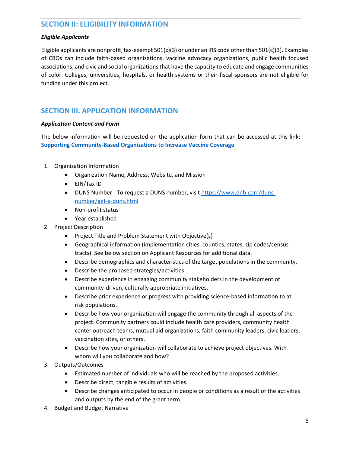# **SECTION II: ELIGIBILITY INFORMATION**

### *Eligible Applicants*

Eligible applicants are nonprofit, tax-exempt 501(c)(3) or under an IRS code other than 501(c)(3). Examples of CBOs can include faith-based organizations, vaccine advocacy organizations, public health focused associations, and civic and social organizations that have the capacity to educate and engage communities of color. Colleges, universities, hospitals, or health systems or their fiscal sponsors are not eligible for funding under this project.

# **SECTION III. APPLICATION INFORMATION**

### *Application Content and Form*

The below information will be requested on the application form that can be accessed at this link: **[Supporting Community-Based Organizations to Increase Vaccine Coverage](https://app.smartsheet.com/b/form/8a7ca6629c61462bbd904cfcf86655b1)**

- 1. Organization Information
	- Organization Name, Address, Website, and Mission
	- EIN/Tax ID
	- DUNS Number To request a DUNS number, visit [https://www.dnb.com/duns](https://www.dnb.com/duns-number/get-a-duns.html)[number/get-a-duns.html](https://www.dnb.com/duns-number/get-a-duns.html)
	- Non-profit status
	- Year established
- 2. Project Description
	- Project Title and Problem Statement with Objective(s)
	- Geographical information (implementation cities, counties, states, zip codes/census tracts). See below section on Applicant Resources for additional data.
	- Describe demographics and characteristics of the target populations in the community.
	- Describe the proposed strategies/activities.
	- Describe experience in engaging community stakeholders in the development of community-driven, culturally appropriate initiatives.
	- Describe prior experience or progress with providing science-based information to at risk populations.
	- Describe how your organization will engage the community through all aspects of the project. Community partners could include health care providers, community health center outreach teams, mutual aid organizations, faith community leaders, civic leaders, vaccination sites, or others.
	- Describe how your organization will collaborate to achieve project objectives. With whom will you collaborate and how?
- 3. Outputs/Outcomes
	- Estimated number of individuals who will be reached by the proposed activities.
	- Describe direct, tangible results of activities.
	- Describe changes anticipated to occur in people or conditions as a result of the activities and outputs by the end of the grant term.
- 4. Budget and Budget Narrative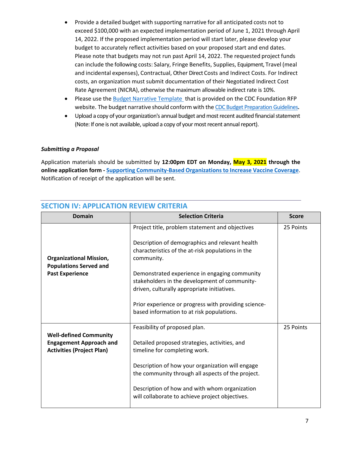- Provide a detailed budget with supporting narrative for all anticipated costs not to exceed \$100,000 with an expected implementation period of June 1, 2021 through April 14, 2022. If the proposed implementation period will start later, please develop your budget to accurately reflect activities based on your proposed start and end dates. Please note that budgets may not run past April 14, 2022. The requested project funds can include the following costs: Salary, Fringe Benefits, Supplies, Equipment, Travel (meal and incidental expenses), Contractual, Other Direct Costs and Indirect Costs. For Indirect costs, an organization must submit documentation of their Negotiated Indirect Cost Rate Agreement (NICRA), otherwise the maximum allowable indirect rate is 10%.
- Please use th[e Budget Narrative Template t](https://www.cdcfoundation.org/CBO-VaccineConfidence-RFP-Budget-Template)hat is provided on the CDC Foundation RFP website. The budget narrative should conform with the [CDC Budget Preparation Guidelines](https://www.cdc.gov/hiv/pdf/funding/announcements/ps15-1509/ps15-1509-budget-preparation-guidelines.pdf)**.**
- Upload a copy of your organization's annual budget and most recent audited financial statement (Note: If one is not available, upload a copy of your most recent annual report).

### *Submitting a Proposal*

Application materials should be submitted by **12:00pm EDT on Monday, May 3, 2021 through the online application form - [Supporting Community-Based Organizations to Increase Vaccine Coverage](https://app.smartsheet.com/b/form/8a7ca6629c61462bbd904cfcf86655b1)**. Notification of receipt of the application will be sent.

| <b>Domain</b>                                                                                       | <b>Selection Criteria</b>                                                                                                                                                                                                                                                                                                                                                                                                   | <b>Score</b> |
|-----------------------------------------------------------------------------------------------------|-----------------------------------------------------------------------------------------------------------------------------------------------------------------------------------------------------------------------------------------------------------------------------------------------------------------------------------------------------------------------------------------------------------------------------|--------------|
| <b>Organizational Mission,</b><br><b>Populations Served and</b><br><b>Past Experience</b>           | Project title, problem statement and objectives<br>Description of demographics and relevant health<br>characteristics of the at-risk populations in the<br>community.<br>Demonstrated experience in engaging community<br>stakeholders in the development of community-<br>driven, culturally appropriate initiatives.<br>Prior experience or progress with providing science-<br>based information to at risk populations. | 25 Points    |
| <b>Well-defined Community</b><br><b>Engagement Approach and</b><br><b>Activities (Project Plan)</b> | Feasibility of proposed plan.<br>Detailed proposed strategies, activities, and<br>timeline for completing work.<br>Description of how your organization will engage<br>the community through all aspects of the project.<br>Description of how and with whom organization<br>will collaborate to achieve project objectives.                                                                                                | 25 Points    |

## **SECTION IV: APPLICATION REVIEW CRITERIA**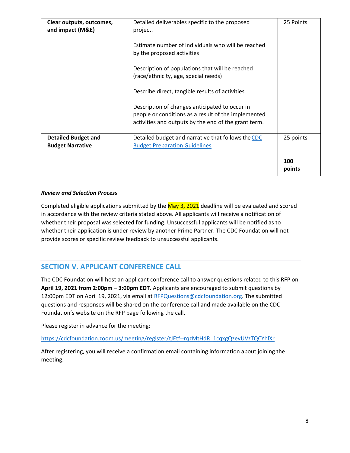| Clear outputs, outcomes,<br>and impact (M&E)          | Detailed deliverables specific to the proposed<br>project.<br>Estimate number of individuals who will be reached<br>by the proposed activities<br>Description of populations that will be reached<br>(race/ethnicity, age, special needs)<br>Describe direct, tangible results of activities<br>Description of changes anticipated to occur in<br>people or conditions as a result of the implemented<br>activities and outputs by the end of the grant term. | 25 Points     |
|-------------------------------------------------------|---------------------------------------------------------------------------------------------------------------------------------------------------------------------------------------------------------------------------------------------------------------------------------------------------------------------------------------------------------------------------------------------------------------------------------------------------------------|---------------|
| <b>Detailed Budget and</b><br><b>Budget Narrative</b> | Detailed budget and narrative that follows the CDC<br><b>Budget Preparation Guidelines</b>                                                                                                                                                                                                                                                                                                                                                                    | 25 points     |
|                                                       |                                                                                                                                                                                                                                                                                                                                                                                                                                                               | 100<br>points |

### *Review and Selection Process*

Completed eligible applications submitted by the May 3, 2021 deadline will be evaluated and scored in accordance with the review criteria stated above. All applicants will receive a notification of whether their proposal was selected for funding. Unsuccessful applicants will be notified as to whether their application is under review by another Prime Partner. The CDC Foundation will not provide scores or specific review feedback to unsuccessful applicants.

# **SECTION V. APPLICANT CONFERENCE CALL**

The CDC Foundation will host an applicant conference call to answer questions related to this RFP on **April 19, 2021 from 2:00pm – 3:00pm EDT**. Applicants are encouraged to submit questions by 12:00pm EDT on April 19, 2021, via email a[t RFPQuestions@cdcfoundation.org.](mailto:RFPQuestions@cdcfoundation.org) The submitted questions and responses will be shared on the conference call and made available on the CDC Foundation's website on the RFP page following the call.

Please register in advance for the meeting:

[https://cdcfoundation.zoom.us/meeting/register/tJEtf--rqzMtHdR\\_1cqxgQzevUVzTQCYhlXr](https://cdcfoundation.zoom.us/meeting/register/tJEtf--rqzMtHdR_1cqxgQzevUVzTQCYhlXr)

After registering, you will receive a confirmation email containing information about joining the meeting.